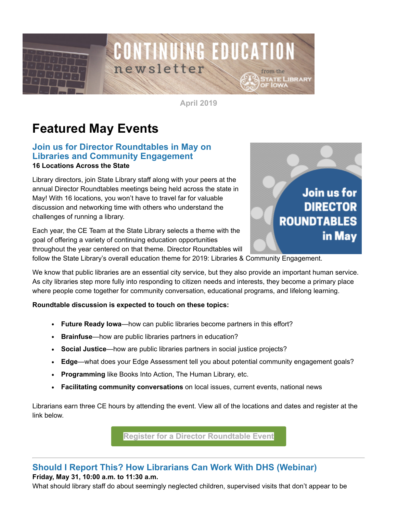

**April 2019**

# **Featured May Events**

### **Join us for Director Roundtables in May on Libraries and Community Engagement 16 Locations Across the State**

Library directors, join State Library staff along with your peers at the annual Director Roundtables meetings being held across the state in May! With 16 locations, you won't have to travel far for valuable discussion and networking time with others who understand the challenges of running a library.

Each year, the CE Team at the State Library selects a theme with the goal of offering a variety of continuing education opportunities throughout the year centered on that theme. Director Roundtables will



follow the State Library's overall education theme for 2019: Libraries & Community Engagement.

We know that public libraries are an essential city service, but they also provide an important human service. As city libraries step more fully into responding to citizen needs and interests, they become a primary place where people come together for community conversation, educational programs, and lifelong learning.

#### **Roundtable discussion is expected to touch on these topics:**

- **Future Ready Iowa**—how can public libraries become partners in this effort?
- **Brainfuse**—how are public libraries partners in education?
- **Social Justice**—how are public libraries partners in social justice projects?
- **Edge**—what does your Edge Assessment tell you about potential community engagement goals?
- **Programming** like Books Into Action, The Human Library, etc.
- **Facilitating community conversations** on local issues, current events, national news

Librarians earn three CE hours by attending the event. View all of the locations and dates and register at the link below.

**[Register for a Director Roundtable Event](https://statelibraryofiowa.lmscheckout.com/Course/index?tags=Roundtables%7CDirector&utm_medium=email&utm_source=govdelivery)**

## **Should I Report This? How Librarians Can Work With DHS (Webinar) Friday, May 31, 10:00 a.m. to 11:30 a.m.**

What should library staff do about seemingly neglected children, supervised visits that don't appear to be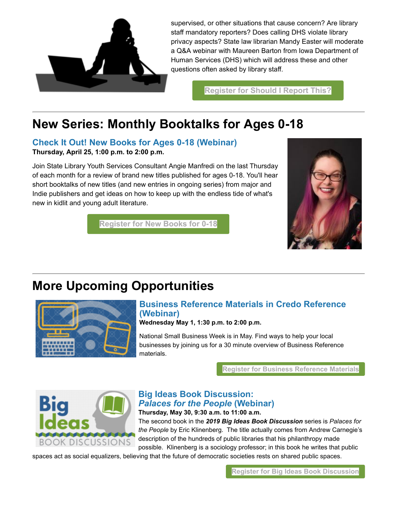

supervised, or other situations that cause concern? Are library staff mandatory reporters? Does calling DHS violate library privacy aspects? State law librarian Mandy Easter will moderate a Q&A webinar with Maureen Barton from Iowa Department of Human Services (DHS) which will address these and other questions often asked by library staff.

**[Register for Should I Report This?](https://statelibraryofiowa.lmscheckout.com/Course/view/should-i-report-this-how-librarians-can-work-with-dhs-webinar-1?utm_medium=email&utm_source=govdelivery)**

## **New Series: Monthly Booktalks for Ages 0-18**

**Check It Out! New Books for Ages 0-18 (Webinar) Thursday, April 25, 1:00 p.m. to 2:00 p.m.**

Join State Library Youth Services Consultant Angie Manfredi on the last Thursday of each month for a review of brand new titles published for ages 0-18. You'll hear short booktalks of new titles (and new entries in ongoing series) from major and Indie publishers and get ideas on how to keep up with the endless tide of what's new in kidlit and young adult literature.



**[Register for New Books for 0-18](https://statelibraryofiowa.lmscheckout.com/Course/view/check-it-out-books-for-ages-0-18-webinar-1?utm_medium=email&utm_source=govdelivery)**

# **More Upcoming Opportunities**



## **Business Reference Materials in Credo Reference (Webinar)**

**Wednesday May 1, 1:30 p.m. to 2:00 p.m.**

National Small Business Week is in May. Find ways to help your local businesses by joining us for a 30 minute overview of Business Reference materials.

**[Register for Business Reference Materials](https://statelibraryofiowa.lmscheckout.com/Course/view/business-reference-materials-in-credo-reference-1?utm_medium=email&utm_source=govdelivery)**



#### **Big Ideas Book Discussion:** *Palaces for the People* **(Webinar) Thursday, May 30, 9:30 a.m. to 11:00 a.m.**

The second book in the *2019 Big Ideas Book Discussion* series is *Palaces for the People* by Eric Klinenberg. The title actually comes from Andrew Carnegie's description of the hundreds of public libraries that his philanthropy made possible. Klinenberg is a sociology professor; in this book he writes that public

spaces act as social equalizers, believing that the future of democratic societies rests on shared public spaces.